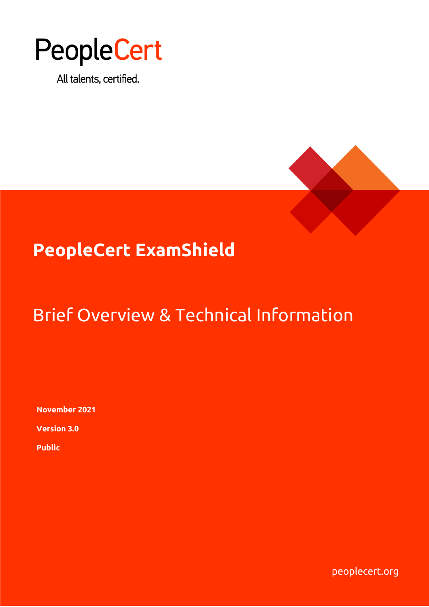

All talents, certified.



# **PeopleCert ExamShield**

# Brief Overview & Technical Information

**November 2021**

**Version 3.0**

**Public**

peoplecert.org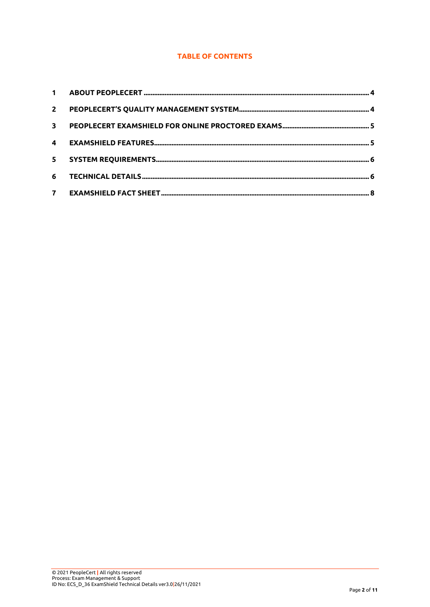## **TABLE OF CONTENTS**

| $\mathbf{2}$ |  |
|--------------|--|
| $\mathbf{3}$ |  |
|              |  |
| $5 -$        |  |
| 6            |  |
|              |  |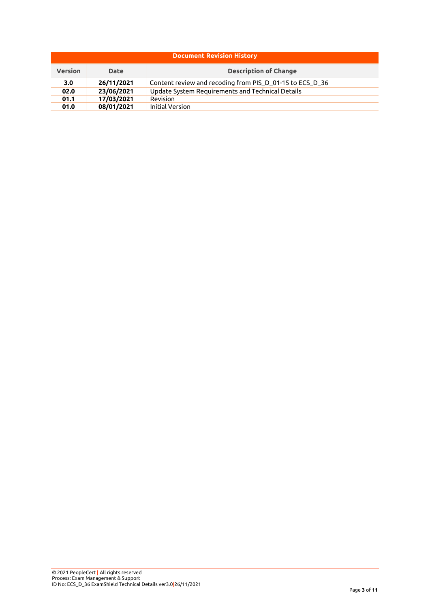| <b>Document Revision History</b> |                                             |                                                          |  |  |
|----------------------------------|---------------------------------------------|----------------------------------------------------------|--|--|
| <b>Version</b>                   | <b>Description of Change</b><br><b>Date</b> |                                                          |  |  |
| 3.0                              | 26/11/2021                                  | Content review and recoding from PIS_D_01-15 to ECS_D_36 |  |  |
| 02.0                             | 23/06/2021                                  | Update System Requirements and Technical Details         |  |  |
| 01.1                             | 17/03/2021                                  | Revision                                                 |  |  |
| 01.0                             | 08/01/2021                                  | <b>Initial Version</b>                                   |  |  |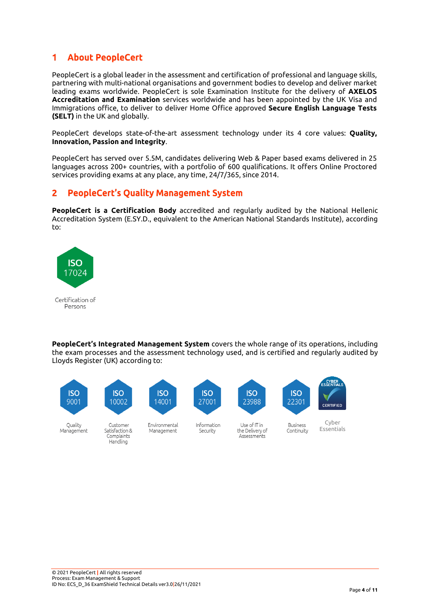#### <span id="page-3-0"></span> $\mathbf{1}$ **About PeopleCert**

PeopleCert is a global leader in the assessment and certification of professional and language skills, partnering with multi-national organisations and government bodies to develop and deliver market leading exams worldwide. PeopleCert is sole Examination Institute for the delivery of **AXELOS Accreditation and Examination** services worldwide and has been appointed by the UK Visa and Immigrations office, to deliver to deliver Home Office approved **Secure English Language Tests (SELT)** in the UK and globally.

PeopleCert develops state-of-the-art assessment technology under its 4 core values: **Quality, Innovation, Passion and Integrity**.

PeopleCert has served over 5.5M, candidates delivering Web & Paper based exams delivered in 25 languages across 200+ countries, with a portfolio of 600 qualifications. It offers Online Proctored services providing exams at any place, any time, 24/7/365, since 2014.

#### <span id="page-3-1"></span> $\overline{2}$ **PeopleCert's Quality Management System**

**PeopleCert is a Certification Body** accredited and regularly audited by the National Hellenic Accreditation System (E.SY.D., equivalent to the American National Standards Institute), according to:



**PeopleCert's Integrated Management System** covers the whole range of its operations, including the exam processes and the assessment technology used, and is certified and regularly audited by Lloyds Register (UK) according to:



Quality Management



Customer

Satisfaction &

Complaints

Handling

Environmental Management

**ISO** 

14001



Information

Security

**ISO** 23988

Use of IT in

the Delivery of

Assessments



CYBER **CERTIFIED** 

**Business** Continuity

Cyber Essentials



```
ID No: ECS_D_36 ExamShield Technical Details ver3.0|26/11/2021
```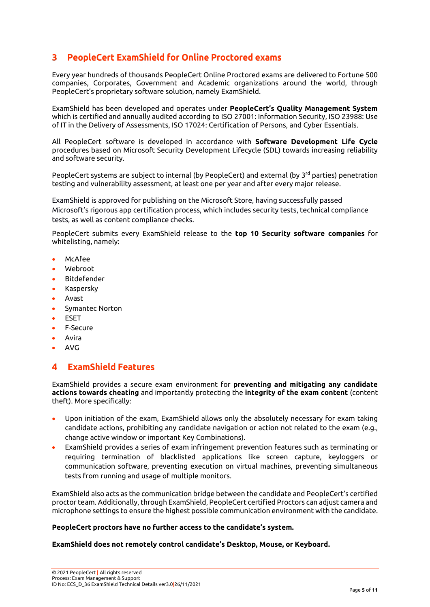# <span id="page-4-0"></span>3 PeopleCert ExamShield for Online Proctored exams

Every year hundreds of thousands PeopleCert Online Proctored exams are delivered to Fortune 500 companies, Corporates, Government and Academic organizations around the world, through PeopleCert's proprietary software solution, namely ExamShield.

ExamShield has been developed and operates under **PeopleCert's Quality Management System** which is certified and annually audited according to ISO 27001: Information Security, ISO 23988: Use of IT in the Delivery of Assessments, ISO 17024: Certification of Persons, and Cyber Essentials.

All PeopleCert software is developed in accordance with **Software Development Life Cycle** procedures based on Microsoft Security Development Lifecycle (SDL) towards increasing reliability and software security.

PeopleCert systems are subject to internal (by PeopleCert) and external (by 3<sup>rd</sup> parties) penetration testing and vulnerability assessment, at least one per year and after every major release.

ExamShield is approved for publishing on the Microsoft Store, having successfully passed Microsoft's rigorous app certification process, which includes security tests, technical compliance tests, as well as content compliance checks.

PeopleCert submits every ExamShield release to the **top 10 Security software companies** for whitelisting, namely:

- McAfee
- Webroot
- **Bitdefender**
- Kaspersky
- Avast
- Symantec Norton
- **ESET**
- F-Secure
- **Avira**
- AVG

#### <span id="page-4-1"></span>**ExamShield Features**  $\blacktriangle$

ExamShield provides a secure exam environment for **preventing and mitigating any candidate actions towards cheating** and importantly protecting the **integrity of the exam content** (content theft). More specifically:

- Upon initiation of the exam, ExamShield allows only the absolutely necessary for exam taking candidate actions, prohibiting any candidate navigation or action not related to the exam (e.g., change active window or important Key Combinations).
- ExamShield provides a series of exam infringement prevention features such as terminating or requiring termination of blacklisted applications like screen capture, keyloggers or communication software, preventing execution on virtual machines, preventing simultaneous tests from running and usage of multiple monitors.

ExamShield also acts as the communication bridge between the candidate and PeopleCert's certified proctor team. Additionally, through ExamShield, PeopleCert certified Proctors can adjust camera and microphone settings to ensure the highest possible communication environment with the candidate.

## **PeopleCert proctors have no further access to the candidate's system.**

## **ExamShield does not remotely control candidate's Desktop, Mouse, or Keyboard.**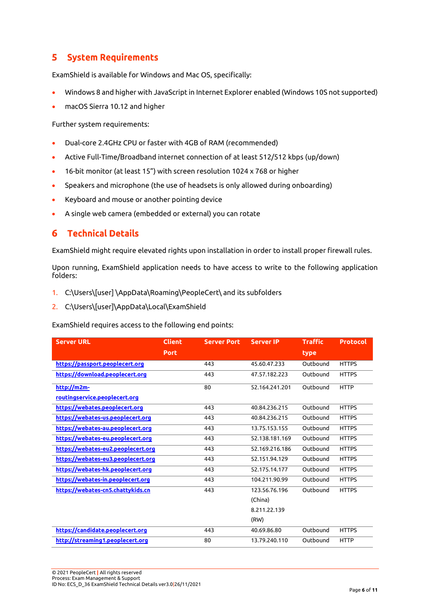#### <span id="page-5-0"></span>5 **System Requirements**

ExamShield is available for Windows and Mac OS, specifically:

- Windows 8 and higher with JavaScript in Internet Explorer enabled (Windows 10S not supported)
- macOS Sierra 10.12 and higher

Further system requirements:

- Dual-core 2.4GHz CPU or faster with 4GB of RAM (recommended)
- Active Full-Time/Broadband internet connection of at least 512/512 kbps (up/down)
- 16-bit monitor (at least 15") with screen resolution 1024 x 768 or higher
- Speakers and microphone (the use of headsets is only allowed during onboarding)
- Keyboard and mouse or another pointing device
- A single web camera (embedded or external) you can rotate

#### <span id="page-5-1"></span>**Technical Details** 6

ExamShield might require elevated rights upon installation in order to install proper firewall rules.

Upon running, ExamShield application needs to have access to write to the following application folders:

- 1. C:\Users\[user] \AppData\Roaming\PeopleCert\ and its subfolders
- 2. C:\Users\[user]\AppData\Local\ExamShield

ExamShield requires access to the following end points:

| <b>Server URL</b>                  | <b>Client</b> | <b>Server Port</b> | <b>Server IP</b> | <b>Traffic</b> | <b>Protocol</b> |
|------------------------------------|---------------|--------------------|------------------|----------------|-----------------|
|                                    | <b>Port</b>   |                    |                  | type           |                 |
| https://passport.peoplecert.org    |               | 443                | 45.60.47.233     | Outbound       | <b>HTTPS</b>    |
| https://download.peoplecert.org    |               | 443                | 47.57.182.223    | Outbound       | <b>HTTPS</b>    |
| $http://m2m-1$                     |               | 80                 | 52.164.241.201   | Outbound       | <b>HTTP</b>     |
| routingservice.peoplecert.org      |               |                    |                  |                |                 |
| https://webates.peoplecert.org     |               | 443                | 40.84.236.215    | Outbound       | <b>HTTPS</b>    |
| https://webates-us.peoplecert.org  |               | 443                | 40.84.236.215    | Outbound       | <b>HTTPS</b>    |
| https://webates-au.peoplecert.org  |               | 443                | 13.75.153.155    | Outbound       | <b>HTTPS</b>    |
| https://webates-eu.peoplecert.org  |               | 443                | 52.138.181.169   | Outbound       | <b>HTTPS</b>    |
| https://webates-eu2.peoplecert.org |               | 443                | 52.169.216.186   | Outbound       | <b>HTTPS</b>    |
| https://webates-eu3.peoplecert.org |               | 443                | 52.151.94.129    | Outbound       | <b>HTTPS</b>    |
| https://webates-hk.peoplecert.org  |               | 443                | 52.175.14.177    | Outbound       | <b>HTTPS</b>    |
| https://webates-in.peoplecert.org  |               | 443                | 104.211.90.99    | Outbound       | <b>HTTPS</b>    |
| https://webates-cn5.chattykids.cn  |               | 443                | 123.56.76.196    | Outbound       | <b>HTTPS</b>    |
|                                    |               |                    | (China)          |                |                 |
|                                    |               |                    | 8.211.22.139     |                |                 |
|                                    |               |                    | (RW)             |                |                 |
| https://candidate.peoplecert.org   |               | 443                | 40.69.86.80      | Outbound       | <b>HTTPS</b>    |
| http://streaming1.peoplecert.org   |               | 80                 | 13.79.240.110    | Outbound       | <b>HTTP</b>     |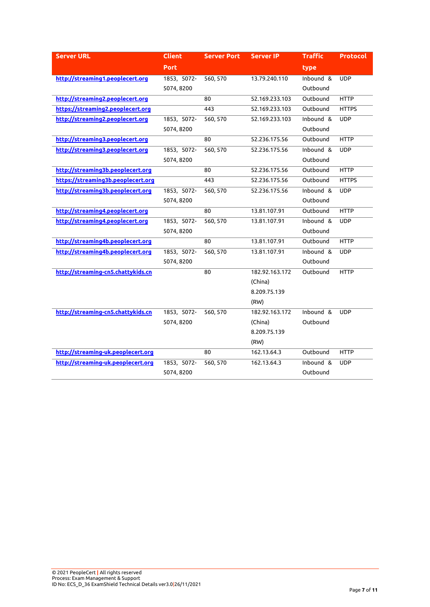| <b>Server URL</b>                  | <b>Client</b> | <b>Server Port</b> | <b>Server IP</b> | <b>Traffic</b> | <b>Protocol</b> |
|------------------------------------|---------------|--------------------|------------------|----------------|-----------------|
|                                    | <b>Port</b>   |                    |                  | type           |                 |
| http://streaming1.peoplecert.org   | 1853, 5072-   | 560, 570           | 13.79.240.110    | Inbound &      | <b>UDP</b>      |
|                                    | 5074,8200     |                    |                  | Outbound       |                 |
| http://streaming2.peoplecert.org   |               | 80                 | 52.169.233.103   | Outbound       | <b>HTTP</b>     |
| https://streaming2.peoplecert.org  |               | 443                | 52.169.233.103   | Outbound       | <b>HTTPS</b>    |
| http://streaming2.peoplecert.org   | 1853, 5072-   | 560, 570           | 52.169.233.103   | Inbound &      | <b>UDP</b>      |
|                                    | 5074,8200     |                    |                  | Outbound       |                 |
| http://streaming3.peoplecert.org   |               | 80                 | 52.236.175.56    | Outbound       | <b>HTTP</b>     |
| http://streaming3.peoplecert.org   | 1853, 5072-   | 560, 570           | 52.236.175.56    | Inbound &      | <b>UDP</b>      |
|                                    | 5074,8200     |                    |                  | Outbound       |                 |
| http://streaming3b.peoplecert.org  |               | 80                 | 52.236.175.56    | Outbound       | <b>HTTP</b>     |
| https://streaming3b.peoplecert.org |               | 443                | 52.236.175.56    | Outbound       | <b>HTTPS</b>    |
| http://streaming3b.peoplecert.org  | 1853, 5072-   | 560, 570           | 52.236.175.56    | Inbound &      | <b>UDP</b>      |
|                                    | 5074,8200     |                    |                  | Outbound       |                 |
| http://streaming4.peoplecert.org   |               | 80                 | 13.81.107.91     | Outbound       | <b>HTTP</b>     |
| http://streaming4.peoplecert.org   | 1853, 5072-   | 560, 570           | 13.81.107.91     | Inbound &      | <b>UDP</b>      |
|                                    | 5074,8200     |                    |                  | Outbound       |                 |
| http://streaming4b.peoplecert.org  |               | 80                 | 13.81.107.91     | Outbound       | <b>HTTP</b>     |
| http://streaming4b.peoplecert.org  | 1853, 5072-   | 560, 570           | 13.81.107.91     | Inbound &      | <b>UDP</b>      |
|                                    | 5074,8200     |                    |                  | Outbound       |                 |
| http://streaming-cn5.chattykids.cn |               | 80                 | 182.92.163.172   | Outbound       | <b>HTTP</b>     |
|                                    |               |                    | (China)          |                |                 |
|                                    |               |                    | 8.209.75.139     |                |                 |
|                                    |               |                    | (RW)             |                |                 |
| http://streaming-cn5.chattykids.cn | 1853, 5072-   | 560, 570           | 182.92.163.172   | Inbound &      | <b>UDP</b>      |
|                                    | 5074,8200     |                    | (China)          | Outbound       |                 |
|                                    |               |                    | 8.209.75.139     |                |                 |
|                                    |               |                    | (RW)             |                |                 |
| http://streaming-uk.peoplecert.org |               | 80                 | 162.13.64.3      | Outbound       | <b>HTTP</b>     |
| http://streaming-uk.peoplecert.org | 1853, 5072-   | 560, 570           | 162.13.64.3      | Inbound &      | <b>UDP</b>      |
|                                    | 5074, 8200    |                    |                  | Outbound       |                 |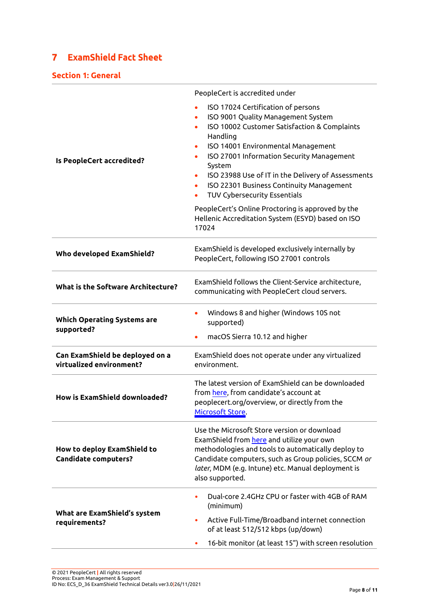#### <span id="page-7-0"></span>**ExamShield Fact Sheet**  $\mathbf{7}$

## **Section 1: General**

|                                                             | PeopleCert is accredited under                                                                                                                                                                                                                                                                                                                                                  |  |  |  |
|-------------------------------------------------------------|---------------------------------------------------------------------------------------------------------------------------------------------------------------------------------------------------------------------------------------------------------------------------------------------------------------------------------------------------------------------------------|--|--|--|
| Is PeopleCert accredited?                                   | ISO 17024 Certification of persons<br>ISO 9001 Quality Management System<br>ISO 10002 Customer Satisfaction & Complaints<br>Handling<br>ISO 14001 Environmental Management<br>ISO 27001 Information Security Management<br>System<br>ISO 23988 Use of IT in the Delivery of Assessments<br>۰<br>ISO 22301 Business Continuity Management<br><b>TUV Cybersecurity Essentials</b> |  |  |  |
|                                                             | PeopleCert's Online Proctoring is approved by the<br>Hellenic Accreditation System (ESYD) based on ISO<br>17024                                                                                                                                                                                                                                                                 |  |  |  |
| Who developed ExamShield?                                   | ExamShield is developed exclusively internally by<br>PeopleCert, following ISO 27001 controls                                                                                                                                                                                                                                                                                   |  |  |  |
| What is the Software Architecture?                          | ExamShield follows the Client-Service architecture,<br>communicating with PeopleCert cloud servers.                                                                                                                                                                                                                                                                             |  |  |  |
| <b>Which Operating Systems are</b><br>supported?            | Windows 8 and higher (Windows 10S not<br>supported)<br>macOS Sierra 10.12 and higher<br>۰                                                                                                                                                                                                                                                                                       |  |  |  |
| Can ExamShield be deployed on a<br>virtualized environment? | ExamShield does not operate under any virtualized<br>environment.                                                                                                                                                                                                                                                                                                               |  |  |  |
| <b>How is ExamShield downloaded?</b>                        | The latest version of ExamShield can be downloaded<br>from here, from candidate's account at<br>peoplecert.org/overview, or directly from the<br>Microsoft Store.                                                                                                                                                                                                               |  |  |  |
| How to deploy ExamShield to<br><b>Candidate computers?</b>  | Use the Microsoft Store version or download<br>ExamShield from here and utilize your own<br>methodologies and tools to automatically deploy to<br>Candidate computers, such as Group policies, SCCM or<br>later, MDM (e.g. Intune) etc. Manual deployment is<br>also supported.                                                                                                 |  |  |  |
| What are ExamShield's system<br>requirements?               | Dual-core 2.4GHz CPU or faster with 4GB of RAM<br>(minimum)<br>Active Full-Time/Broadband internet connection<br>of at least 512/512 kbps (up/down)<br>16-bit monitor (at least 15") with screen resolution<br>٠                                                                                                                                                                |  |  |  |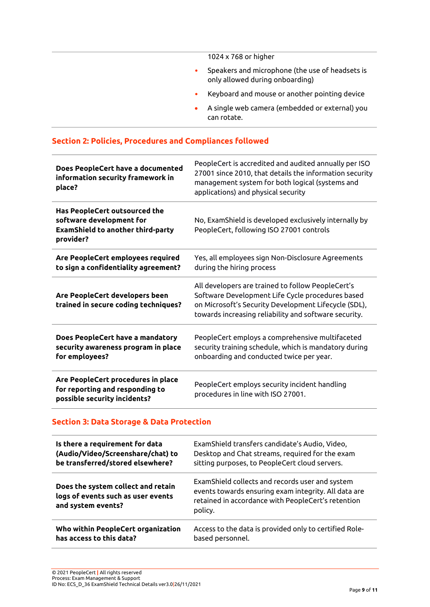|           | 1024 x 768 or higher                                                               |
|-----------|------------------------------------------------------------------------------------|
| $\bullet$ | Speakers and microphone (the use of headsets is<br>only allowed during onboarding) |
| $\bullet$ | Keyboard and mouse or another pointing device                                      |
| $\bullet$ | A single web camera (embedded or external) you<br>can rotate.                      |

# **Section 2: Policies, Procedures and Compliances followed**

| Does PeopleCert have a documented<br>information security framework in<br>place?                                   | PeopleCert is accredited and audited annually per ISO<br>27001 since 2010, that details the information security<br>management system for both logical (systems and<br>applications) and physical security             |
|--------------------------------------------------------------------------------------------------------------------|------------------------------------------------------------------------------------------------------------------------------------------------------------------------------------------------------------------------|
| Has PeopleCert outsourced the<br>software development for<br><b>ExamShield to another third-party</b><br>provider? | No, ExamShield is developed exclusively internally by<br>PeopleCert, following ISO 27001 controls                                                                                                                      |
| Are PeopleCert employees required<br>to sign a confidentiality agreement?                                          | Yes, all employees sign Non-Disclosure Agreements<br>during the hiring process                                                                                                                                         |
| Are PeopleCert developers been<br>trained in secure coding techniques?                                             | All developers are trained to follow PeopleCert's<br>Software Development Life Cycle procedures based<br>on Microsoft's Security Development Lifecycle (SDL),<br>towards increasing reliability and software security. |
| Does PeopleCert have a mandatory<br>security awareness program in place<br>for employees?                          | PeopleCert employs a comprehensive multifaceted<br>security training schedule, which is mandatory during<br>onboarding and conducted twice per year.                                                                   |
| Are PeopleCert procedures in place<br>for reporting and responding to<br>possible security incidents?              | PeopleCert employs security incident handling<br>procedures in line with ISO 27001.                                                                                                                                    |

## **Section 3: Data Storage & Data Protection**

| Is there a requirement for data                                                                | ExamShield transfers candidate's Audio, Video,                                                                                                                           |
|------------------------------------------------------------------------------------------------|--------------------------------------------------------------------------------------------------------------------------------------------------------------------------|
| (Audio/Video/Screenshare/chat) to                                                              | Desktop and Chat streams, required for the exam                                                                                                                          |
| be transferred/stored elsewhere?                                                               | sitting purposes, to PeopleCert cloud servers.                                                                                                                           |
| Does the system collect and retain<br>logs of events such as user events<br>and system events? | ExamShield collects and records user and system<br>events towards ensuring exam integrity. All data are<br>retained in accordance with PeopleCert's retention<br>policy. |
| Who within PeopleCert organization                                                             | Access to the data is provided only to certified Role-                                                                                                                   |
| has access to this data?                                                                       | based personnel.                                                                                                                                                         |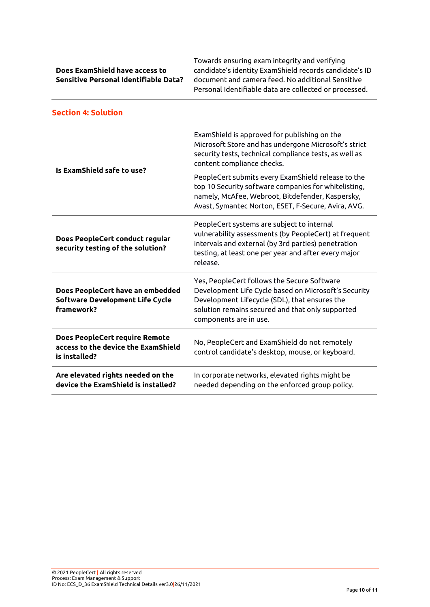| Does ExamShield have access to        |
|---------------------------------------|
| Sensitive Personal Identifiable Data? |

Towards ensuring exam integrity and verifying candidate's identity ExamShield records candidate's ID document and camera feed. No additional Sensitive Personal Identifiable data are collected or processed.

| Section 4: Solution                                                                           |                                                                                                                                                                                                                                    |  |  |  |
|-----------------------------------------------------------------------------------------------|------------------------------------------------------------------------------------------------------------------------------------------------------------------------------------------------------------------------------------|--|--|--|
| Is ExamShield safe to use?                                                                    | ExamShield is approved for publishing on the<br>Microsoft Store and has undergone Microsoft's strict<br>security tests, technical compliance tests, as well as<br>content compliance checks.                                       |  |  |  |
|                                                                                               | PeopleCert submits every ExamShield release to the<br>top 10 Security software companies for whitelisting,<br>namely, McAfee, Webroot, Bitdefender, Kaspersky,<br>Avast, Symantec Norton, ESET, F-Secure, Avira, AVG.              |  |  |  |
| Does PeopleCert conduct regular<br>security testing of the solution?                          | PeopleCert systems are subject to internal<br>vulnerability assessments (by PeopleCert) at frequent<br>intervals and external (by 3rd parties) penetration<br>testing, at least one per year and after every major<br>release.     |  |  |  |
| Does PeopleCert have an embedded<br>Software Development Life Cycle<br>framework?             | Yes, PeopleCert follows the Secure Software<br>Development Life Cycle based on Microsoft's Security<br>Development Lifecycle (SDL), that ensures the<br>solution remains secured and that only supported<br>components are in use. |  |  |  |
| <b>Does PeopleCert require Remote</b><br>access to the device the ExamShield<br>is installed? | No, PeopleCert and ExamShield do not remotely<br>control candidate's desktop, mouse, or keyboard.                                                                                                                                  |  |  |  |
| Are elevated rights needed on the<br>device the ExamShield is installed?                      | In corporate networks, elevated rights might be<br>needed depending on the enforced group policy.                                                                                                                                  |  |  |  |

# **Section 4: Solution**